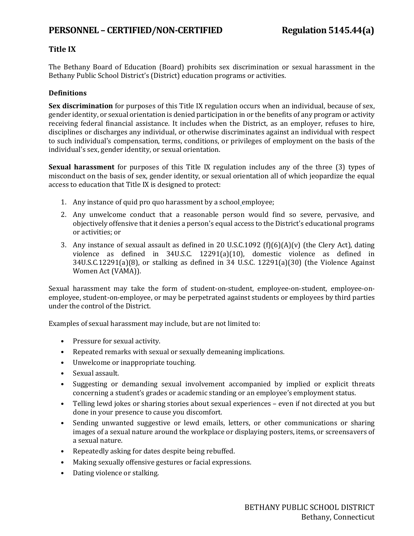## **Title IX**

The Bethany Board of Education (Board) prohibits sex discrimination or sexual harassment in the Bethany Public School District's (District) education programs or activities.

## **Definitions**

**Sex discrimination** for purposes of this Title IX regulation occurs when an individual, because of sex, gender identity, or sexual orientation is denied participation in or the benefits of any program or activity receiving federal financial assistance. It includes when the District, as an employer, refuses to hire, disciplines or discharges any individual, or otherwise discriminates against an individual with respect to such individual's compensation, terms, conditions, or privileges of employment on the basis of the individual's sex, gender identity, or sexual orientation.

**Sexual harassment** for purposes of this Title IX regulation includes any of the three (3) types of misconduct on the basis of sex, gender identity, or sexual orientation all of which jeopardize the equal access to education that Title IX is designed to protect:

- 1. Any instance of quid pro quo harassment by a school employee;
- 2. Any unwelcome conduct that a reasonable person would find so severe, pervasive, and objectively offensive that it denies a person's equal access to the District's educational programs or activities; or
- 3. Any instance of sexual assault as defined in 20 U.S.C.1092 (f)(6)(A)(v) (the Clery Act), dating violence as defined in 34U.S.C. 12291(a)(10), domestic violence as defined in 34U.S.C.12291(a)(8), or stalking as defined in 34 U.S.C. 12291(a)(30) (the Violence Against Women Act (VAMA)).

Sexual harassment may take the form of student-on-student, employee-on-student, employee-onemployee, student-on-employee, or may be perpetrated against students or employees by third parties under the control of the District.

Examples of sexual harassment may include, but are not limited to:

- Pressure for sexual activity.
- Repeated remarks with sexual or sexually demeaning implications.
- Unwelcome or inappropriate touching.
- Sexual assault.
- Suggesting or demanding sexual involvement accompanied by implied or explicit threats concerning a student's grades or academic standing or an employee's employment status.
- Telling lewd jokes or sharing stories about sexual experiences even if not directed at you but done in your presence to cause you discomfort.
- Sending unwanted suggestive or lewd emails, letters, or other communications or sharing images of a sexual nature around the workplace or displaying posters, items, or screensavers of a sexual nature.
- Repeatedly asking for dates despite being rebuffed.
- Making sexually offensive gestures or facial expressions.
- Dating violence or stalking.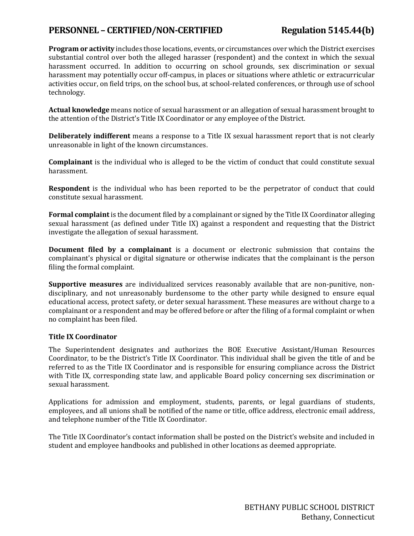# **PERSONNEL – CERTIFIED/NON-CERTIFIED Regulation 5145.44(b)**

**Program or activity** includes those locations, events, or circumstances over which the District exercises substantial control over both the alleged harasser (respondent) and the context in which the sexual harassment occurred. In addition to occurring on school grounds, sex discrimination or sexual harassment may potentially occur off-campus, in places or situations where athletic or extracurricular activities occur, on field trips, on the school bus, at school-related conferences, or through use of school technology.

**Actual knowledge** means notice of sexual harassment or an allegation of sexual harassment brought to the attention of the District's Title IX Coordinator or any employee of the District.

**Deliberately indifferent** means a response to a Title IX sexual harassment report that is not clearly unreasonable in light of the known circumstances.

**Complainant** is the individual who is alleged to be the victim of conduct that could constitute sexual harassment.

**Respondent** is the individual who has been reported to be the perpetrator of conduct that could constitute sexual harassment.

**Formal complaint** is the document filed by a complainant or signed by the Title IX Coordinator alleging sexual harassment (as defined under Title IX) against a respondent and requesting that the District investigate the allegation of sexual harassment.

**Document filed by a complainant** is a document or electronic submission that contains the complainant's physical or digital signature or otherwise indicates that the complainant is the person filing the formal complaint.

**Supportive measures** are individualized services reasonably available that are non-punitive, nondisciplinary, and not unreasonably burdensome to the other party while designed to ensure equal educational access, protect safety, or deter sexual harassment. These measures are without charge to a complainant or a respondent and may be offered before or after the filing of a formal complaint or when no complaint has been filed.

## **Title IX Coordinator**

The Superintendent designates and authorizes the BOE Executive Assistant/Human Resources Coordinator, to be the District's Title IX Coordinator. This individual shall be given the title of and be referred to as the Title IX Coordinator and is responsible for ensuring compliance across the District with Title IX, corresponding state law, and applicable Board policy concerning sex discrimination or sexual harassment.

Applications for admission and employment, students, parents, or legal guardians of students, employees, and all unions shall be notified of the name or title, office address, electronic email address, and telephone number of the Title IX Coordinator.

The Title IX Coordinator's contact information shall be posted on the District's website and included in student and employee handbooks and published in other locations as deemed appropriate.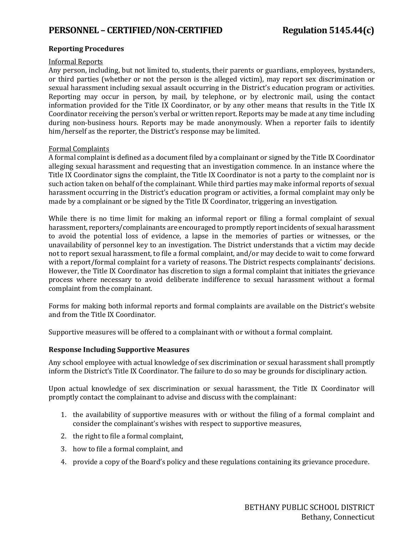## **Reporting Procedures**

#### Informal Reports

Any person, including, but not limited to, students, their parents or guardians, employees, bystanders, or third parties (whether or not the person is the alleged victim), may report sex discrimination or sexual harassment including sexual assault occurring in the District's education program or activities. Reporting may occur in person, by mail, by telephone, or by electronic mail, using the contact information provided for the Title IX Coordinator, or by any other means that results in the Title IX Coordinator receiving the person's verbal or written report. Reports may be made at any time including during non-business hours. Reports may be made anonymously. When a reporter fails to identify him/herself as the reporter, the District's response may be limited.

#### Formal Complaints

A formal complaint is defined as a document filed by a complainant or signed by the Title IX Coordinator alleging sexual harassment and requesting that an investigation commence. In an instance where the Title IX Coordinator signs the complaint, the Title IX Coordinator is not a party to the complaint nor is such action taken on behalf of the complainant. While third parties may make informal reports of sexual harassment occurring in the District's education program or activities, a formal complaint may only be made by a complainant or be signed by the Title IX Coordinator, triggering an investigation.

While there is no time limit for making an informal report or filing a formal complaint of sexual harassment, reporters/complainants are encouraged to promptly report incidents of sexual harassment to avoid the potential loss of evidence, a lapse in the memories of parties or witnesses, or the unavailability of personnel key to an investigation. The District understands that a victim may decide not to report sexual harassment, to file a formal complaint, and/or may decide to wait to come forward with a report/formal complaint for a variety of reasons. The District respects complainants' decisions. However, the Title IX Coordinator has discretion to sign a formal complaint that initiates the grievance process where necessary to avoid deliberate indifference to sexual harassment without a formal complaint from the complainant.

Forms for making both informal reports and formal complaints are available on the District's website and from the Title IX Coordinator.

Supportive measures will be offered to a complainant with or without a formal complaint.

#### **Response Including Supportive Measures**

Any school employee with actual knowledge of sex discrimination or sexual harassment shall promptly inform the District's Title IX Coordinator. The failure to do so may be grounds for disciplinary action.

Upon actual knowledge of sex discrimination or sexual harassment, the Title IX Coordinator will promptly contact the complainant to advise and discuss with the complainant:

- 1. the availability of supportive measures with or without the filing of a formal complaint and consider the complainant's wishes with respect to supportive measures,
- 2. the right to file a formal complaint,
- 3. how to file a formal complaint, and
- 4. provide a copy of the Board's policy and these regulations containing its grievance procedure.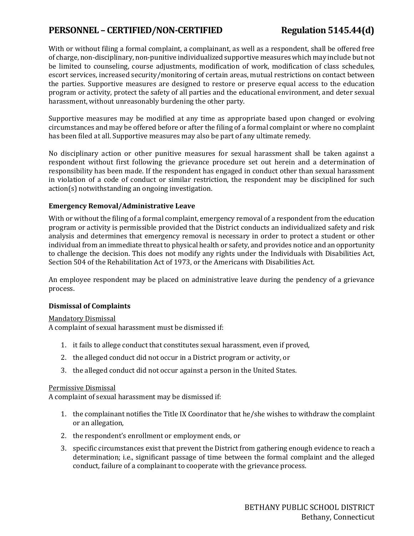# **PERSONNEL – CERTIFIED/NON-CERTIFIED Regulation 5145.44(d)**

With or without filing a formal complaint, a complainant, as well as a respondent, shall be offered free of charge, non-disciplinary, non-punitive individualized supportive measures which may include but not be limited to counseling, course adjustments, modification of work, modification of class schedules, escort services, increased security/monitoring of certain areas, mutual restrictions on contact between the parties. Supportive measures are designed to restore or preserve equal access to the education program or activity, protect the safety of all parties and the educational environment, and deter sexual harassment, without unreasonably burdening the other party.

Supportive measures may be modified at any time as appropriate based upon changed or evolving circumstances and may be offered before or after the filing of a formal complaint or where no complaint has been filed at all. Supportive measures may also be part of any ultimate remedy.

No disciplinary action or other punitive measures for sexual harassment shall be taken against a respondent without first following the grievance procedure set out herein and a determination of responsibility has been made. If the respondent has engaged in conduct other than sexual harassment in violation of a code of conduct or similar restriction, the respondent may be disciplined for such action(s) notwithstanding an ongoing investigation.

### **Emergency Removal/Administrative Leave**

With or without the filing of a formal complaint, emergency removal of a respondent from the education program or activity is permissible provided that the District conducts an individualized safety and risk analysis and determines that emergency removal is necessary in order to protect a student or other individual from an immediate threat to physical health or safety, and provides notice and an opportunity to challenge the decision. This does not modify any rights under the Individuals with Disabilities Act, Section 504 of the Rehabilitation Act of 1973, or the Americans with Disabilities Act.

An employee respondent may be placed on administrative leave during the pendency of a grievance process.

## **Dismissal of Complaints**

#### Mandatory Dismissal

A complaint of sexual harassment must be dismissed if:

- 1. it fails to allege conduct that constitutes sexual harassment, even if proved,
- 2. the alleged conduct did not occur in a District program or activity, or
- 3. the alleged conduct did not occur against a person in the United States.

#### Permissive Dismissal

A complaint of sexual harassment may be dismissed if:

- 1. the complainant notifies the Title IX Coordinator that he/she wishes to withdraw the complaint or an allegation,
- 2. the respondent's enrollment or employment ends, or
- 3. specific circumstances exist that prevent the District from gathering enough evidence to reach a determination; i.e., significant passage of time between the formal complaint and the alleged conduct, failure of a complainant to cooperate with the grievance process.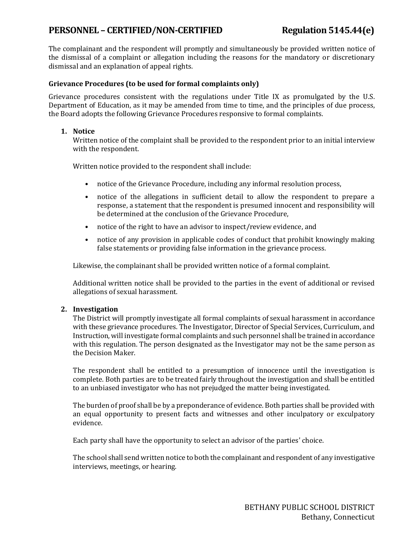# **PERSONNEL – CERTIFIED/NON-CERTIFIED Regulation 5145.44(e)**

The complainant and the respondent will promptly and simultaneously be provided written notice of the dismissal of a complaint or allegation including the reasons for the mandatory or discretionary dismissal and an explanation of appeal rights.

## **Grievance Procedures (to be used for formal complaints only)**

Grievance procedures consistent with the regulations under Title IX as promulgated by the U.S. Department of Education, as it may be amended from time to time, and the principles of due process, the Board adopts the following Grievance Procedures responsive to formal complaints.

### **1. Notice**

Written notice of the complaint shall be provided to the respondent prior to an initial interview with the respondent.

Written notice provided to the respondent shall include:

- notice of the Grievance Procedure, including any informal resolution process,
- notice of the allegations in sufficient detail to allow the respondent to prepare a response, a statement that the respondent is presumed innocent and responsibility will be determined at the conclusion of the Grievance Procedure,
- notice of the right to have an advisor to inspect/review evidence, and
- notice of any provision in applicable codes of conduct that prohibit knowingly making false statements or providing false information in the grievance process.

Likewise, the complainant shall be provided written notice of a formal complaint.

Additional written notice shall be provided to the parties in the event of additional or revised allegations of sexual harassment.

## **2. Investigation**

The District will promptly investigate all formal complaints of sexual harassment in accordance with these grievance procedures. The Investigator, Director of Special Services, Curriculum, and Instruction, will investigate formal complaints and such personnel shall be trained in accordance with this regulation. The person designated as the Investigator may not be the same person as the Decision Maker.

The respondent shall be entitled to a presumption of innocence until the investigation is complete. Both parties are to be treated fairly throughout the investigation and shall be entitled to an unbiased investigator who has not prejudged the matter being investigated.

The burden of proof shall be by a preponderance of evidence. Both parties shall be provided with an equal opportunity to present facts and witnesses and other inculpatory or exculpatory evidence.

Each party shall have the opportunity to select an advisor of the parties' choice.

The school shall send written notice to both the complainant and respondent of any investigative interviews, meetings, or hearing.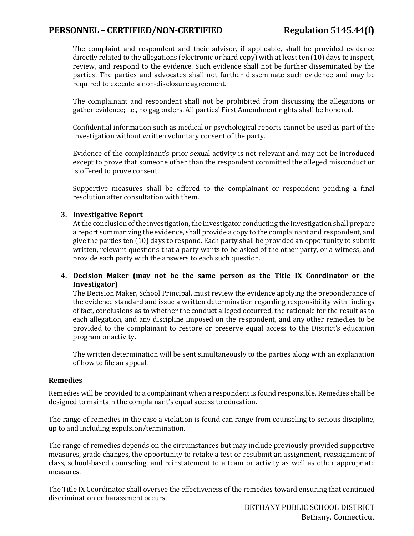# **PERSONNEL – CERTIFIED/NON-CERTIFIED Regulation 5145.44(f)**

The complaint and respondent and their advisor, if applicable, shall be provided evidence directly related to the allegations (electronic or hard copy) with at least ten (10) days to inspect, review, and respond to the evidence. Such evidence shall not be further disseminated by the parties. The parties and advocates shall not further disseminate such evidence and may be required to execute a non-disclosure agreement.

The complainant and respondent shall not be prohibited from discussing the allegations or gather evidence; i.e., no gag orders. All parties' First Amendment rights shall be honored.

Confidential information such as medical or psychological reports cannot be used as part of the investigation without written voluntary consent of the party.

Evidence of the complainant's prior sexual activity is not relevant and may not be introduced except to prove that someone other than the respondent committed the alleged misconduct or is offered to prove consent.

Supportive measures shall be offered to the complainant or respondent pending a final resolution after consultation with them.

### **3. Investigative Report**

At the conclusion of the investigation, the investigator conducting the investigation shall prepare a report summarizing the evidence, shall provide a copy to the complainant and respondent, and give the parties ten (10) days to respond. Each party shall be provided an opportunity to submit written, relevant questions that a party wants to be asked of the other party, or a witness, and provide each party with the answers to each such question.

**4. Decision Maker (may not be the same person as the Title IX Coordinator or the Investigator)**

The Decision Maker, School Principal, must review the evidence applying the preponderance of the evidence standard and issue a written determination regarding responsibility with findings of fact, conclusions as to whether the conduct alleged occurred, the rationale for the result as to each allegation, and any discipline imposed on the respondent, and any other remedies to be provided to the complainant to restore or preserve equal access to the District's education program or activity.

The written determination will be sent simultaneously to the parties along with an explanation of how to file an appeal.

#### **Remedies**

Remedies will be provided to a complainant when a respondent is found responsible. Remedies shall be designed to maintain the complainant's equal access to education.

The range of remedies in the case a violation is found can range from counseling to serious discipline, up to and including expulsion/termination.

The range of remedies depends on the circumstances but may include previously provided supportive measures, grade changes, the opportunity to retake a test or resubmit an assignment, reassignment of class, school-based counseling, and reinstatement to a team or activity as well as other appropriate measures.

The Title IX Coordinator shall oversee the effectiveness of the remedies toward ensuring that continued discrimination or harassment occurs.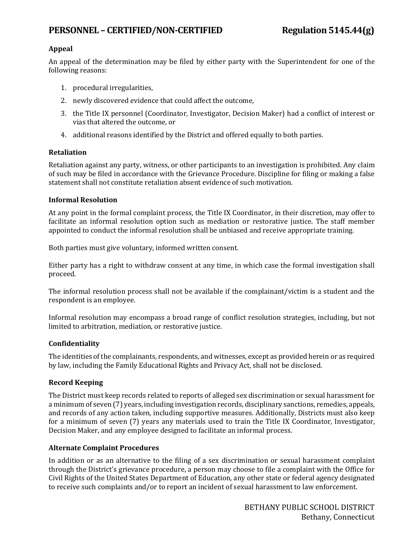# **PERSONNEL – CERTIFIED/NON-CERTIFIED Regulation 5145.44(g)**

## **Appeal**

An appeal of the determination may be filed by either party with the Superintendent for one of the following reasons:

- 1. procedural irregularities,
- 2. newly discovered evidence that could affect the outcome,
- 3. the Title IX personnel (Coordinator, Investigator, Decision Maker) had a conflict of interest or vias that altered the outcome, or
- 4. additional reasons identified by the District and offered equally to both parties.

### **Retaliation**

Retaliation against any party, witness, or other participants to an investigation is prohibited. Any claim of such may be filed in accordance with the Grievance Procedure. Discipline for filing or making a false statement shall not constitute retaliation absent evidence of such motivation.

### **Informal Resolution**

At any point in the formal complaint process, the Title IX Coordinator, in their discretion, may offer to facilitate an informal resolution option such as mediation or restorative justice. The staff member appointed to conduct the informal resolution shall be unbiased and receive appropriate training.

Both parties must give voluntary, informed written consent.

Either party has a right to withdraw consent at any time, in which case the formal investigation shall proceed.

The informal resolution process shall not be available if the complainant/victim is a student and the respondent is an employee.

Informal resolution may encompass a broad range of conflict resolution strategies, including, but not limited to arbitration, mediation, or restorative justice.

## **Confidentiality**

The identities of the complainants, respondents, and witnesses, except as provided herein or as required by law, including the Family Educational Rights and Privacy Act, shall not be disclosed.

## **Record Keeping**

The District must keep records related to reports of alleged sex discrimination or sexual harassment for a minimum of seven (7) years, including investigation records, disciplinary sanctions, remedies, appeals, and records of any action taken, including supportive measures. Additionally, Districts must also keep for a minimum of seven (7) years any materials used to train the Title IX Coordinator, Investigator, Decision Maker, and any employee designed to facilitate an informal process.

## **Alternate Complaint Procedures**

In addition or as an alternative to the filing of a sex discrimination or sexual harassment complaint through the District's grievance procedure, a person may choose to file a complaint with the Office for Civil Rights of the United States Department of Education, any other state or federal agency designated to receive such complaints and/or to report an incident of sexual harassment to law enforcement.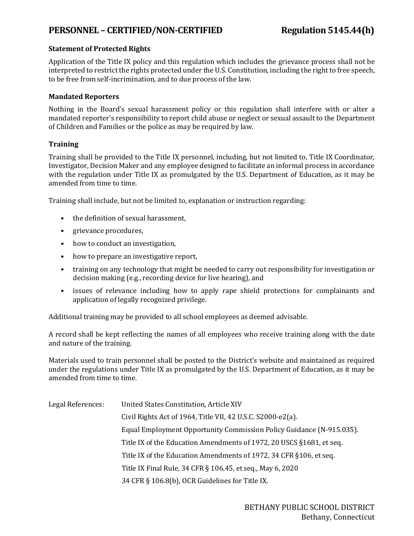# **PERSONNEL – CERTIFIED/NON-CERTIFIED Regulation 5145.44(h)**

## **Statement of Protected Rights**

Application of the Title IX policy and this regulation which includes the grievance process shall not be interpreted to restrict the rights protected under the U.S. Constitution, including the right to free speech, to be free from self-incrimination, and to due process of the law.

## **Mandated Reporters**

Nothing in the Board's sexual harassment policy or this regulation shall interfere with or alter a mandated reporter's responsibility to report child abuse or neglect or sexual assault to the Department of Children and Families or the police as may be required by law.

### **Training**

Training shall be provided to the Title IX personnel, including, but not limited to, Title IX Coordinator, Investigator, Decision Maker and any employee designed to facilitate an informal process in accordance with the regulation under Title IX as promulgated by the U.S. Department of Education, as it may be amended from time to time.

Training shall include, but not be limited to, explanation or instruction regarding:

- the definition of sexual harassment,
- grievance procedures,
- how to conduct an investigation,
- how to prepare an investigative report,
- training on any technology that might be needed to carry out responsibility for investigation or decision making (e.g., recording device for live hearing), and
- issues of relevance including how to apply rape shield protections for complainants and application of legally recognized privilege.

Additional training may be provided to all school employees as deemed advisable.

A record shall be kept reflecting the names of all employees who receive training along with the date and nature of the training.

Materials used to train personnel shall be posted to the District's website and maintained as required under the regulations under Title IX as promulgated by the U.S. Department of Education, as it may be amended from time to time.

| Legal References: | United States Constitution, Article XIV                              |
|-------------------|----------------------------------------------------------------------|
|                   | Civil Rights Act of 1964, Title VII, 42 U.S.C. S2000-e2(a).          |
|                   | Equal Employment Opportunity Commission Policy Guidance (N-915.035). |
|                   | Title IX of the Education Amendments of 1972, 20 USCS §1681, et seq. |
|                   | Title IX of the Education Amendments of 1972, 34 CFR §106, et seq.   |
|                   | Title IX Final Rule, 34 CFR § 106.45, et seq., May 6, 2020           |
|                   | 34 CFR § 106.8(b), OCR Guidelines for Title IX.                      |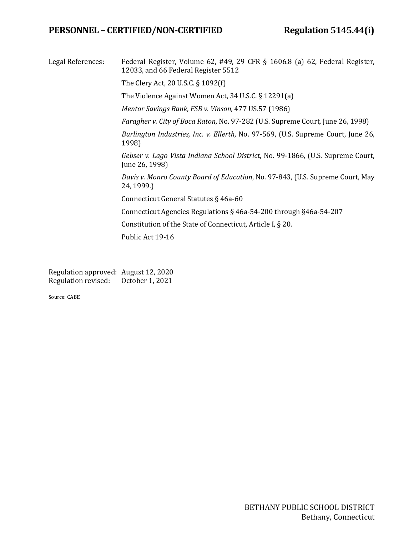# **PERSONNEL – CERTIFIED/NON-CERTIFIED Regulation 5145.44(i)**

Legal References: Federal Register, Volume 62, #49, 29 CFR § 1606.8 (a) 62, Federal Register, 12033, and 66 Federal Register 5512

The Clery Act, 20 U.S.C. § 1092(f)

The Violence Against Women Act, 34 U.S.C. § 12291(a)

*Mentor Savings Bank, FSB v. Vinson,* 477 US.57 (1986)

*Faragher v. City of Boca Raton*, No. 97-282 (U.S. Supreme Court, June 26, 1998)

*Burlington Industries, Inc. v. Ellerth*, No. 97-569, (U.S. Supreme Court, June 26, 1998)

*Gebser v. Lago Vista Indiana School District*, No. 99-1866, (U.S. Supreme Court, June 26, 1998)

*Davis v. Monro County Board of Education*, No. 97-843, (U.S. Supreme Court, May 24, 1999.)

Connecticut General Statutes § 46a-60

Connecticut Agencies Regulations § 46a-54-200 through §46a-54-207

Constitution of the State of Connecticut, Article I, § 20.

Public Act 19-16

Regulation approved: August 12, 2020<br>Regulation revised: October 1, 2021 Regulation revised:

Source: CABE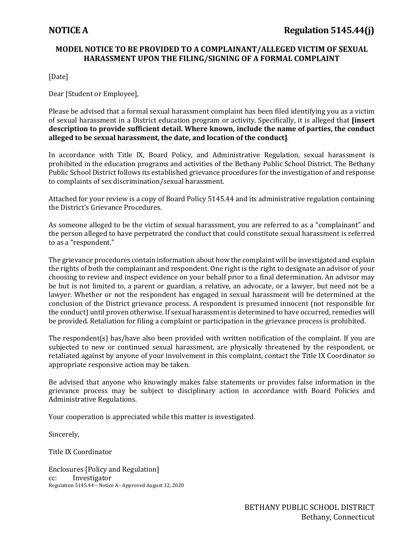# **MODEL NOTICE TO BE PROVIDED TO A COMPLAINANT/ALLEGED VICTIM OF SEXUAL HARASSMENT UPON THE FILING/SIGNING OF A FORMAL COMPLAINT**

[Date]

Dear [Student or Employee],

Please be advised that a formal sexual harassment complaint has been filed identifying you as a victim of sexual harassment in a District education program or activity. Specifically, it is alleged that **[insert description to provide sufficient detail. Where known, include the name of parties, the conduct alleged to be sexual harassment, the date, and location of the conduct]**.

In accordance with Title IX, Board Policy, and Administrative Regulation, sexual harassment is prohibited in the education programs and activities of the Bethany Public School District. The Bethany Public School District follows its established grievance procedures for the investigation of and response to complaints of sex discrimination/sexual harassment.

Attached for your review is a copy of Board Policy 5145.44 and its administrative regulation containing the District's Grievance Procedures.

As someone alleged to be the victim of sexual harassment, you are referred to as a "complainant" and the person alleged to have perpetrated the conduct that could constitute sexual harassment is referred to as a "respondent."

The grievance procedures contain information about how the complaint will be investigated and explain the rights of both the complainant and respondent. One right is the right to designate an advisor of your choosing to review and inspect evidence on your behalf prior to a final determination. An advisor may be but is not limited to, a parent or guardian, a relative, an advocate, or a lawyer, but need not be a lawyer. Whether or not the respondent has engaged in sexual harassment will be determined at the conclusion of the District grievance process. A respondent is presumed innocent (not responsible for the conduct) until proven otherwise. If sexual harassment is determined to have occurred, remedies will be provided. Retaliation for filing a complaint or participation in the grievance process is prohibited.

The respondent(s) has/have also been provided with written notification of the complaint. If you are subjected to new or continued sexual harassment, are physically threatened by the respondent, or retaliated against by anyone of your involvement in this complaint, contact the Title IX Coordinator so appropriate responsive action may be taken.

Be advised that anyone who knowingly makes false statements or provides false information in the grievance process may be subject to disciplinary action in accordance with Board Policies and Administrative Regulations.

Your cooperation is appreciated while this matter is investigated.

Sincerely,

Title IX Coordinator

Enclosures [Policy and Regulation] cc: Investigator Regulation 5145.44 – Notice A– Approved August 12, 2020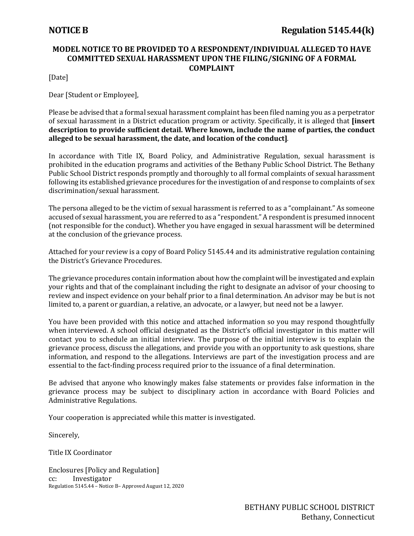# **MODEL NOTICE TO BE PROVIDED TO A RESPONDENT/INDIVIDUAL ALLEGED TO HAVE COMMITTED SEXUAL HARASSMENT UPON THE FILING/SIGNING OF A FORMAL COMPLAINT**

[Date]

Dear [Student or Employee],

Please be advised that a formal sexual harassment complaint has been filed naming you as a perpetrator of sexual harassment in a District education program or activity. Specifically, it is alleged that **[insert description to provide sufficient detail. Where known, include the name of parties, the conduct alleged to be sexual harassment, the date, and location of the conduct]**.

In accordance with Title IX, Board Policy, and Administrative Regulation, sexual harassment is prohibited in the education programs and activities of the Bethany Public School District. The Bethany Public School District responds promptly and thoroughly to all formal complaints of sexual harassment following its established grievance procedures for the investigation of and response to complaints of sex discrimination/sexual harassment.

The persona alleged to be the victim of sexual harassment is referred to as a "complainant." As someone accused of sexual harassment, you are referred to as a "respondent." A respondent is presumed innocent (not responsible for the conduct). Whether you have engaged in sexual harassment will be determined at the conclusion of the grievance process.

Attached for your review is a copy of Board Policy 5145.44 and its administrative regulation containing the District's Grievance Procedures.

The grievance procedures contain information about how the complaint will be investigated and explain your rights and that of the complainant including the right to designate an advisor of your choosing to review and inspect evidence on your behalf prior to a final determination. An advisor may be but is not limited to, a parent or guardian, a relative, an advocate, or a lawyer, but need not be a lawyer.

You have been provided with this notice and attached information so you may respond thoughtfully when interviewed. A school official designated as the District's official investigator in this matter will contact you to schedule an initial interview. The purpose of the initial interview is to explain the grievance process, discuss the allegations, and provide you with an opportunity to ask questions, share information, and respond to the allegations. Interviews are part of the investigation process and are essential to the fact-finding process required prior to the issuance of a final determination.

Be advised that anyone who knowingly makes false statements or provides false information in the grievance process may be subject to disciplinary action in accordance with Board Policies and Administrative Regulations.

Your cooperation is appreciated while this matter is investigated.

Sincerely,

Title IX Coordinator

Enclosures [Policy and Regulation] Investigator Regulation 5145.44 – Notice B– Approved August 12, 2020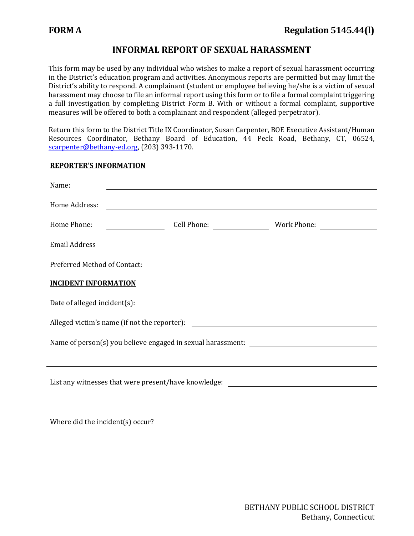# **INFORMAL REPORT OF SEXUAL HARASSMENT**

This form may be used by any individual who wishes to make a report of sexual harassment occurring in the District's education program and activities. Anonymous reports are permitted but may limit the District's ability to respond. A complainant (student or employee believing he/she is a victim of sexual harassment may choose to file an informal report using this form or to file a formal complaint triggering a full investigation by completing District Form B. With or without a formal complaint, supportive measures will be offered to both a complainant and respondent (alleged perpetrator).

Return this form to the District Title IX Coordinator, Susan Carpenter, BOE Executive Assistant/Human Resources Coordinator, Bethany Board of Education, 44 Peck Road, Bethany, CT, 06524, [scarpenter@bethany-ed.org,](mailto:scarpenter@bethany-ed.org) (203) 393-1170.

### **REPORTER'S INFORMATION**

| Name:                                                                            | <u> 1989 - Andrea Santa Andrea Santa Andrea Santa Andrea Santa Andrea Santa Andrea Santa Andrea Santa Andrea San</u>  |  |  |  |
|----------------------------------------------------------------------------------|-----------------------------------------------------------------------------------------------------------------------|--|--|--|
| Home Address:                                                                    | <u> 1980 - Jan Samuel Barbara, martin a shekara tsara 1980 - An tsara 1980 - An tsara 1980 - An tsara 1980 - An t</u> |  |  |  |
| Home Phone:                                                                      |                                                                                                                       |  |  |  |
| <b>Email Address</b>                                                             |                                                                                                                       |  |  |  |
|                                                                                  |                                                                                                                       |  |  |  |
| <b>INCIDENT INFORMATION</b>                                                      |                                                                                                                       |  |  |  |
|                                                                                  |                                                                                                                       |  |  |  |
|                                                                                  |                                                                                                                       |  |  |  |
|                                                                                  |                                                                                                                       |  |  |  |
|                                                                                  |                                                                                                                       |  |  |  |
| List any witnesses that were present/have knowledge: ___________________________ |                                                                                                                       |  |  |  |
|                                                                                  | ,我们也不会有什么。""我们的人,我们也不会有什么?""我们的人,我们也不会有什么?""我们的人,我们也不会有什么?""我们的人,我们也不会有什么?""我们的人                                      |  |  |  |
|                                                                                  |                                                                                                                       |  |  |  |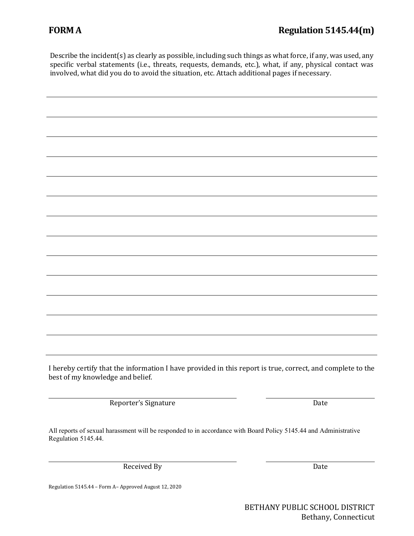Describe the incident(s) as clearly as possible, including such things as what force, if any, was used, any specific verbal statements (i.e., threats, requests, demands, etc.), what, if any, physical contact was involved, what did you do to avoid the situation, etc. Attach additional pages if necessary.

| I hereby certify that the information I have provided in this report is true, correct, and complete to the<br>best of my knowledge and belief. |      |
|------------------------------------------------------------------------------------------------------------------------------------------------|------|
| Reporter's Signature                                                                                                                           | Date |

All reports of sexual harassment will be responded to in accordance with Board Policy 5145.44 and Administrative Regulation 5145.44.

Received By Date

Regulation 5145.44 – Form A– Approved August 12, 2020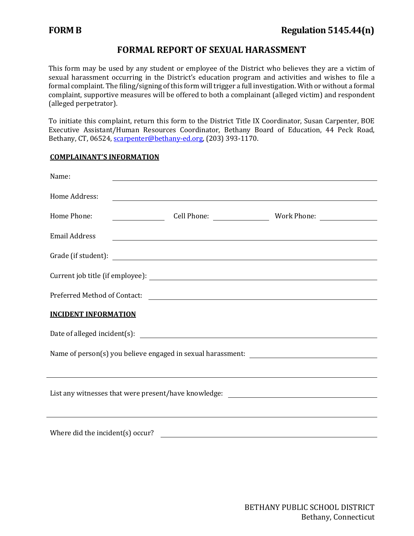# **FORMAL REPORT OF SEXUAL HARASSMENT**

This form may be used by any student or employee of the District who believes they are a victim of sexual harassment occurring in the District's education program and activities and wishes to file a formal complaint. The filing/signing of this form will trigger a full investigation. With or without a formal complaint, supportive measures will be offered to both a complainant (alleged victim) and respondent (alleged perpetrator).

To initiate this complaint, return this form to the District Title IX Coordinator, Susan Carpenter, BOE Executive Assistant/Human Resources Coordinator, Bethany Board of Education, 44 Peck Road, Bethany, CT, 06524, [scarpenter@bethany-ed.org,](mailto:scarpenter@bethany-ed.org) (203) 393-1170.

## **COMPLAINANT'S INFORMATION**

| Name:                                                                                       |                                                                                                                        |  |  |  |
|---------------------------------------------------------------------------------------------|------------------------------------------------------------------------------------------------------------------------|--|--|--|
| Home Address:                                                                               | <u> 1989 - Johann Stoff, deutscher Stoffen und der Stoffen und der Stoffen und der Stoffen und der Stoffen und der</u> |  |  |  |
| Home Phone:                                                                                 |                                                                                                                        |  |  |  |
| <b>Email Address</b>                                                                        | <u> 1989 - Johann Stoff, amerikansk politiker (d. 1989)</u>                                                            |  |  |  |
|                                                                                             |                                                                                                                        |  |  |  |
|                                                                                             |                                                                                                                        |  |  |  |
|                                                                                             |                                                                                                                        |  |  |  |
| <b>INCIDENT INFORMATION</b>                                                                 |                                                                                                                        |  |  |  |
|                                                                                             |                                                                                                                        |  |  |  |
|                                                                                             |                                                                                                                        |  |  |  |
|                                                                                             |                                                                                                                        |  |  |  |
| List any witnesses that were present/have knowledge: ____________________________           |                                                                                                                        |  |  |  |
|                                                                                             |                                                                                                                        |  |  |  |
| Where did the incident(s) occur?<br><u> 1980 - Johann Barnett, fransk politik (d. 1980)</u> |                                                                                                                        |  |  |  |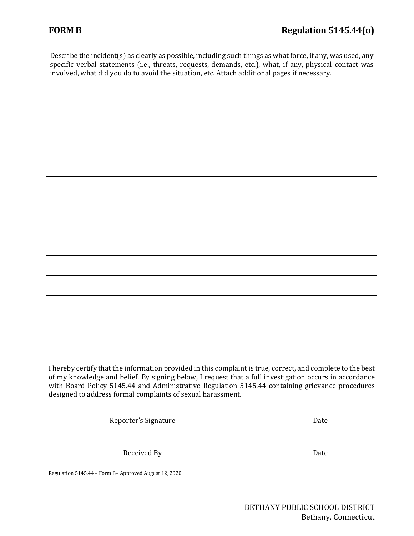Describe the incident(s) as clearly as possible, including such things as what force, if any, was used, any specific verbal statements (i.e., threats, requests, demands, etc.), what, if any, physical contact was involved, what did you do to avoid the situation, etc. Attach additional pages if necessary.

| I hereby certify that the information provided in this complaint is true, correct, and complete to the best<br>of my knowledge and belief. By signing below, I request that a full investigation occurs in accordance<br>with Board Policy 5145.44 and Administrative Regulation 5145.44 containing grievance procedures<br>designed to address formal complaints of sexual harassment. |
|-----------------------------------------------------------------------------------------------------------------------------------------------------------------------------------------------------------------------------------------------------------------------------------------------------------------------------------------------------------------------------------------|

Reporter's Signature Date

Received By Date

Regulation 5145.44 – Form B– Approved August 12, 2020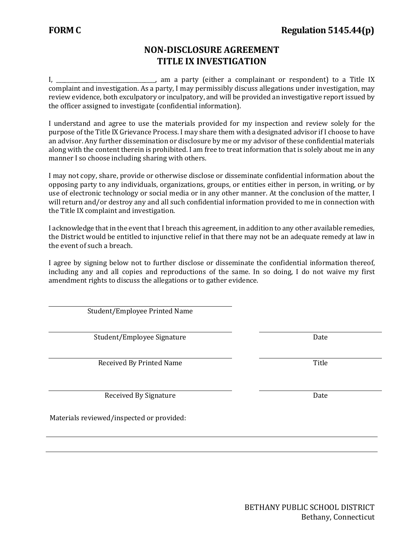# **NON-DISCLOSURE AGREEMENT TITLE IX INVESTIGATION**

I, \_\_\_\_\_\_\_\_\_\_\_\_\_\_\_\_\_\_\_\_\_\_\_\_\_\_\_\_\_\_\_\_\_\_\_\_, am a party (either a complainant or respondent) to a Title IX complaint and investigation. As a party, I may permissibly discuss allegations under investigation, may review evidence, both exculpatory or inculpatory, and will be provided an investigative report issued by the officer assigned to investigate (confidential information).

I understand and agree to use the materials provided for my inspection and review solely for the purpose of the Title IX Grievance Process. I may share them with a designated advisor if I choose to have an advisor. Any further dissemination or disclosure by me or my advisor of these confidential materials along with the content therein is prohibited. I am free to treat information that is solely about me in any manner I so choose including sharing with others.

I may not copy, share, provide or otherwise disclose or disseminate confidential information about the opposing party to any individuals, organizations, groups, or entities either in person, in writing, or by use of electronic technology or social media or in any other manner. At the conclusion of the matter, I will return and/or destroy any and all such confidential information provided to me in connection with the Title IX complaint and investigation.

I acknowledge that in the event that I breach this agreement, in addition to any other available remedies, the District would be entitled to injunctive relief in that there may not be an adequate remedy at law in the event of such a breach.

I agree by signing below not to further disclose or disseminate the confidential information thereof, including any and all copies and reproductions of the same. In so doing, I do not waive my first amendment rights to discuss the allegations or to gather evidence.

Student/Employee Printed Name

Student/Employee Signature data and the Date Date

Received By Printed Name Title

Received By Signature Date

Materials reviewed/inspected or provided: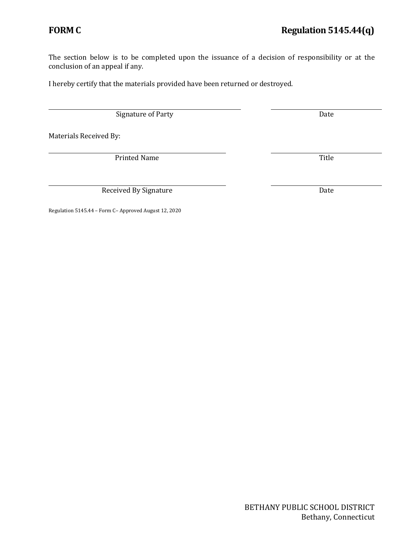The section below is to be completed upon the issuance of a decision of responsibility or at the conclusion of an appeal if any.

I hereby certify that the materials provided have been returned or destroyed.

Signature of Party Date

Materials Received By:

Printed Name Title

Received By Signature Date

Regulation 5145.44 – Form C– Approved August 12, 2020